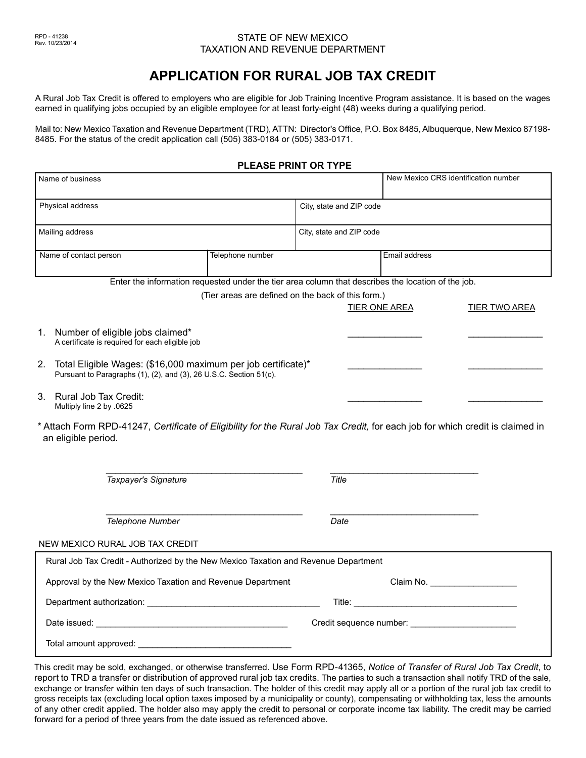#### **STATE OF NEW MEXICO** TAXATION AND REVENUE DEPARTMENT

# **APPLICATION FOR RURAL JOB TAX CREDIT**

A Rural Job Tax Credit is offered to employers who are eligible for Job Training Incentive Program assistance. It is based on the wages earned in qualifying jobs occupied by an eligible employee for at least forty-eight (48) weeks during a qualifying period.

Mail to: New Mexico Taxation and Revenue Department (TRD), ATTN: Director's Office, P.O. Box 8485, Albuquerque, New Mexico 87198- 8485. For the status of the credit application call (505) 383-0184 or (505) 383-0171.

#### **PLEASE PRINT OR TYPE**

| Name of business                                                                                                                                     |                                                    | New Mexico CRS identification number |                                 |                      |
|------------------------------------------------------------------------------------------------------------------------------------------------------|----------------------------------------------------|--------------------------------------|---------------------------------|----------------------|
| Physical address                                                                                                                                     |                                                    | City, state and ZIP code             |                                 |                      |
| Mailing address                                                                                                                                      |                                                    | City, state and ZIP code             |                                 |                      |
| Name of contact person                                                                                                                               | Telephone number                                   |                                      | Email address                   |                      |
| Enter the information requested under the tier area column that describes the location of the job.                                                   |                                                    |                                      |                                 |                      |
|                                                                                                                                                      | (Tier areas are defined on the back of this form.) | TIER ONE AREA                        |                                 | <b>TIER TWO AREA</b> |
| Number of eligible jobs claimed*<br>1.<br>A certificate is required for each eligible job                                                            |                                                    |                                      |                                 |                      |
| 2.<br>Total Eligible Wages: (\$16,000 maximum per job certificate)*<br>Pursuant to Paragraphs (1), (2), and (3), 26 U.S.C. Section 51(c).            |                                                    |                                      |                                 |                      |
| Rural Job Tax Credit:<br>3.<br>Multiply line 2 by .0625                                                                                              |                                                    |                                      |                                 |                      |
| * Attach Form RPD-41247, Certificate of Eligibility for the Rural Job Tax Credit, for each job for which credit is claimed in<br>an eligible period. |                                                    |                                      |                                 |                      |
| Taxpayer's Signature                                                                                                                                 |                                                    | Title                                |                                 |                      |
| Telephone Number                                                                                                                                     |                                                    | Date                                 |                                 |                      |
| NEW MEXICO RURAL JOB TAX CREDIT                                                                                                                      |                                                    |                                      |                                 |                      |
| Rural Job Tax Credit - Authorized by the New Mexico Taxation and Revenue Department                                                                  |                                                    |                                      |                                 |                      |
| Approval by the New Mexico Taxation and Revenue Department                                                                                           |                                                    |                                      | Claim No. _____________________ |                      |
|                                                                                                                                                      |                                                    |                                      |                                 |                      |
|                                                                                                                                                      |                                                    |                                      |                                 |                      |
|                                                                                                                                                      |                                                    |                                      |                                 |                      |

This credit may be sold, exchanged, or otherwise transferred. Use Form RPD-41365, *Notice of Transfer of Rural Job Tax Credit*, to report to TRD a transfer or distribution of approved rural job tax credits. The parties to such a transaction shall notify TRD of the sale, exchange or transfer within ten days of such transaction. The holder of this credit may apply all or a portion of the rural job tax credit to gross receipts tax (excluding local option taxes imposed by a municipality or county), compensating or withholding tax, less the amounts of any other credit applied. The holder also may apply the credit to personal or corporate income tax liability. The credit may be carried forward for a period of three years from the date issued as referenced above.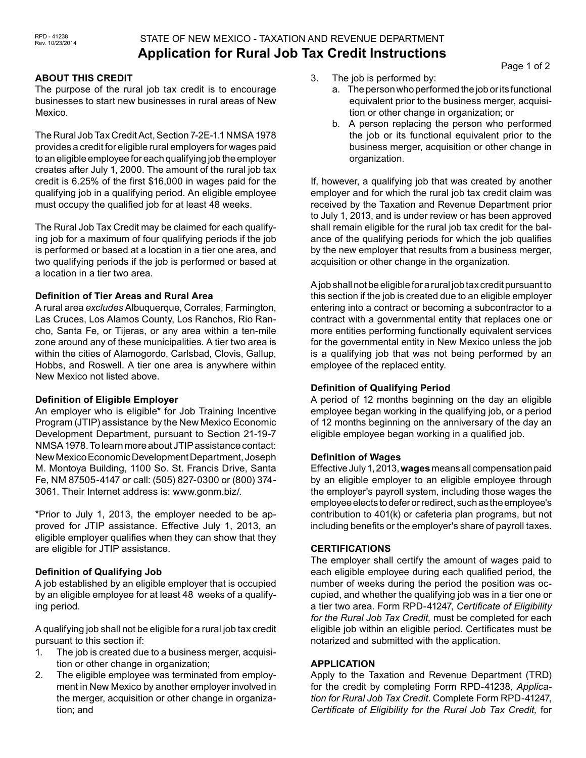# STATE OF NEW MEXICO - TAXATION AND REVENUE DEPARTMENT **Application for Rural Job Tax Credit Instructions**

### **ABOUT THIS CREDIT**

The purpose of the rural job tax credit is to encourage businesses to start new businesses in rural areas of New Mexico.

The Rural Job Tax Credit Act, Section 7-2E-1.1 NMSA 1978 provides a credit for eligible rural employers for wages paid to an eligible employee for each qualifying job the employer creates after July 1, 2000. The amount of the rural job tax credit is 6.25% of the first \$16,000 in wages paid for the qualifying job in a qualifying period. An eligible employee must occupy the qualified job for at least 48 weeks.

The Rural Job Tax Credit may be claimed for each qualifying job for a maximum of four qualifying periods if the job is performed or based at a location in a tier one area, and two qualifying periods if the job is performed or based at a location in a tier two area.

### **Definition of Tier Areas and Rural Area**

A rural area *excludes* Albuquerque, Corrales, Farmington, Las Cruces, Los Alamos County, Los Ranchos, Rio Rancho, Santa Fe, or Tijeras, or any area within a ten-mile zone around any of these municipalities. A tier two area is within the cities of Alamogordo, Carlsbad, Clovis, Gallup, Hobbs, and Roswell. A tier one area is anywhere within New Mexico not listed above.

### **Definition of Eligible Employer**

An employer who is eligible\* for Job Training Incentive Program (JTIP) assistance by the New Mexico Economic Development Department, pursuant to Section 21-19-7 NMSA 1978. To learn more about JTIP assistance contact: New Mexico Economic Development Department, Joseph M. Montoya Building, 1100 So. St. Francis Drive, Santa Fe, NM 87505-4147 or call: (505) 827-0300 or (800) 374- 3061. Their Internet address is: www.gonm.biz/.

\*Prior to July 1, 2013, the employer needed to be approved for JTIP assistance. Effective July 1, 2013, an eligible employer qualifies when they can show that they are eligible for JTIP assistance.

# **Definition of Qualifying Job**

A job established by an eligible employer that is occupied by an eligible employee for at least 48 weeks of a qualifying period.

A qualifying job shall not be eligible for a rural job tax credit pursuant to this section if:

- 1. The job is created due to a business merger, acquisition or other change in organization;
- 2. The eligible employee was terminated from employment in New Mexico by another employer involved in the merger, acquisition or other change in organization; and
- 3. The job is performed by:
	- a. The person who performed the job or its functional equivalent prior to the business merger, acquisition or other change in organization; or
	- b. A person replacing the person who performed the job or its functional equivalent prior to the business merger, acquisition or other change in organization.

If, however, a qualifying job that was created by another employer and for which the rural job tax credit claim was received by the Taxation and Revenue Department prior to July 1, 2013, and is under review or has been approved shall remain eligible for the rural job tax credit for the balance of the qualifying periods for which the job qualifies by the new employer that results from a business merger, acquisition or other change in the organization.

A job shall not be eligible for a rural job tax credit pursuant to this section if the job is created due to an eligible employer entering into a contract or becoming a subcontractor to a contract with a governmental entity that replaces one or more entities performing functionally equivalent services for the governmental entity in New Mexico unless the job is a qualifying job that was not being performed by an employee of the replaced entity.

# **Definition of Qualifying Period**

A period of 12 months beginning on the day an eligible employee began working in the qualifying job, or a period of 12 months beginning on the anniversary of the day an eligible employee began working in a qualified job.

# **Definition of Wages**

Effective July 1, 2013, **wages** means all compensation paid by an eligible employer to an eligible employee through the employer's payroll system, including those wages the employee elects to defer or redirect, such as the employee's contribution to 401(k) or cafeteria plan programs, but not including benefits or the employer's share of payroll taxes.

# **CERTIFICATIONS**

The employer shall certify the amount of wages paid to each eligible employee during each qualified period, the number of weeks during the period the position was occupied, and whether the qualifying job was in a tier one or a tier two area. Form RPD-41247, *Certificate of Eligibility for the Rural Job Tax Credit,* must be completed for each eligible job within an eligible period. Certificates must be notarized and submitted with the application.

# **APPLICATION**

Apply to the Taxation and Revenue Department (TRD) for the credit by completing Form RPD-41238, *Application for Rural Job Tax Credit*. Complete Form RPD-41247, *Certificate of Eligibility for the Rural Job Tax Credit,* for